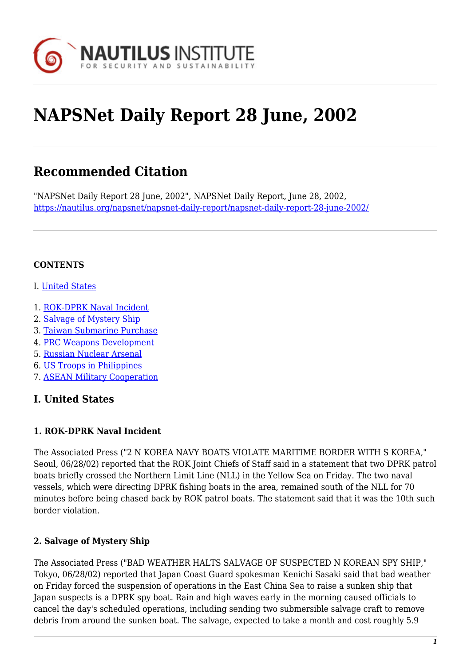

# **NAPSNet Daily Report 28 June, 2002**

# **Recommended Citation**

"NAPSNet Daily Report 28 June, 2002", NAPSNet Daily Report, June 28, 2002, <https://nautilus.org/napsnet/napsnet-daily-report/napsnet-daily-report-28-june-2002/>

#### **CONTENTS**

- I. [United States](#page-0-0)
- 1. [ROK-DPRK Naval Incident](#page-0-1)
- 2. [Salvage of Mystery Ship](#page-0-2)
- 3. [Taiwan Submarine Purchase](#page-1-0)
- 4. [PRC Weapons Development](#page-1-1)
- 5. [Russian Nuclear Arsenal](#page-2-0)
- 6. [US Troops in Philippines](#page-2-1)
- 7. [ASEAN Military Cooperation](#page-2-2)

# <span id="page-0-0"></span>**I. United States**

#### <span id="page-0-1"></span>**1. ROK-DPRK Naval Incident**

The Associated Press ("2 N KOREA NAVY BOATS VIOLATE MARITIME BORDER WITH S KOREA," Seoul, 06/28/02) reported that the ROK Joint Chiefs of Staff said in a statement that two DPRK patrol boats briefly crossed the Northern Limit Line (NLL) in the Yellow Sea on Friday. The two naval vessels, which were directing DPRK fishing boats in the area, remained south of the NLL for 70 minutes before being chased back by ROK patrol boats. The statement said that it was the 10th such border violation.

# <span id="page-0-2"></span>**2. Salvage of Mystery Ship**

The Associated Press ("BAD WEATHER HALTS SALVAGE OF SUSPECTED N KOREAN SPY SHIP," Tokyo, 06/28/02) reported that Japan Coast Guard spokesman Kenichi Sasaki said that bad weather on Friday forced the suspension of operations in the East China Sea to raise a sunken ship that Japan suspects is a DPRK spy boat. Rain and high waves early in the morning caused officials to cancel the day's scheduled operations, including sending two submersible salvage craft to remove debris from around the sunken boat. The salvage, expected to take a month and cost roughly 5.9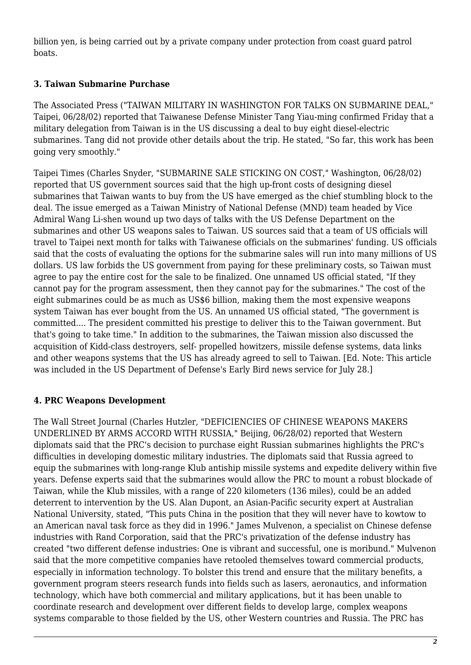billion yen, is being carried out by a private company under protection from coast guard patrol boats.

# <span id="page-1-0"></span>**3. Taiwan Submarine Purchase**

The Associated Press ("TAIWAN MILITARY IN WASHINGTON FOR TALKS ON SUBMARINE DEAL," Taipei, 06/28/02) reported that Taiwanese Defense Minister Tang Yiau-ming confirmed Friday that a military delegation from Taiwan is in the US discussing a deal to buy eight diesel-electric submarines. Tang did not provide other details about the trip. He stated, "So far, this work has been going very smoothly."

Taipei Times (Charles Snyder, "SUBMARINE SALE STICKING ON COST," Washington, 06/28/02) reported that US government sources said that the high up-front costs of designing diesel submarines that Taiwan wants to buy from the US have emerged as the chief stumbling block to the deal. The issue emerged as a Taiwan Ministry of National Defense (MND) team headed by Vice Admiral Wang Li-shen wound up two days of talks with the US Defense Department on the submarines and other US weapons sales to Taiwan. US sources said that a team of US officials will travel to Taipei next month for talks with Taiwanese officials on the submarines' funding. US officials said that the costs of evaluating the options for the submarine sales will run into many millions of US dollars. US law forbids the US government from paying for these preliminary costs, so Taiwan must agree to pay the entire cost for the sale to be finalized. One unnamed US official stated, "If they cannot pay for the program assessment, then they cannot pay for the submarines." The cost of the eight submarines could be as much as US\$6 billion, making them the most expensive weapons system Taiwan has ever bought from the US. An unnamed US official stated, "The government is committed.... The president committed his prestige to deliver this to the Taiwan government. But that's going to take time." In addition to the submarines, the Taiwan mission also discussed the acquisition of Kidd-class destroyers, self- propelled howitzers, missile defense systems, data links and other weapons systems that the US has already agreed to sell to Taiwan. [Ed. Note: This article was included in the US Department of Defense's Early Bird news service for July 28.]

# <span id="page-1-1"></span>**4. PRC Weapons Development**

The Wall Street Journal (Charles Hutzler, "DEFICIENCIES OF CHINESE WEAPONS MAKERS UNDERLINED BY ARMS ACCORD WITH RUSSIA," Beijing, 06/28/02) reported that Western diplomats said that the PRC's decision to purchase eight Russian submarines highlights the PRC's difficulties in developing domestic military industries. The diplomats said that Russia agreed to equip the submarines with long-range Klub antiship missile systems and expedite delivery within five years. Defense experts said that the submarines would allow the PRC to mount a robust blockade of Taiwan, while the Klub missiles, with a range of 220 kilometers (136 miles), could be an added deterrent to intervention by the US. Alan Dupont, an Asian-Pacific security expert at Australian National University, stated, "This puts China in the position that they will never have to kowtow to an American naval task force as they did in 1996." James Mulvenon, a specialist on Chinese defense industries with Rand Corporation, said that the PRC's privatization of the defense industry has created "two different defense industries: One is vibrant and successful, one is moribund." Mulvenon said that the more competitive companies have retooled themselves toward commercial products, especially in information technology. To bolster this trend and ensure that the military benefits, a government program steers research funds into fields such as lasers, aeronautics, and information technology, which have both commercial and military applications, but it has been unable to coordinate research and development over different fields to develop large, complex weapons systems comparable to those fielded by the US, other Western countries and Russia. The PRC has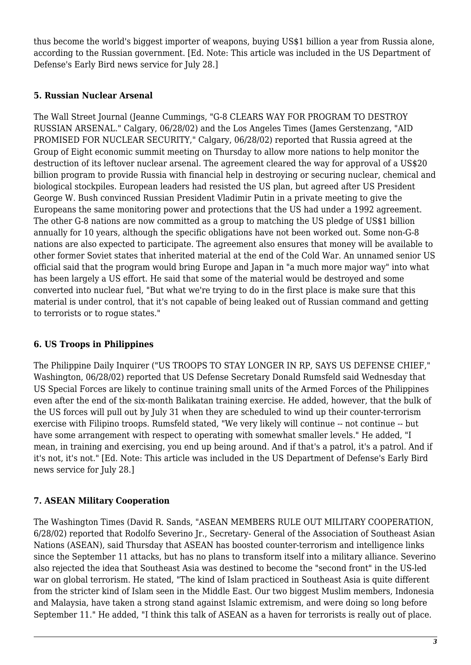thus become the world's biggest importer of weapons, buying US\$1 billion a year from Russia alone, according to the Russian government. [Ed. Note: This article was included in the US Department of Defense's Early Bird news service for July 28.]

#### <span id="page-2-0"></span>**5. Russian Nuclear Arsenal**

The Wall Street Journal (Jeanne Cummings, "G-8 CLEARS WAY FOR PROGRAM TO DESTROY RUSSIAN ARSENAL." Calgary, 06/28/02) and the Los Angeles Times (James Gerstenzang, "AID PROMISED FOR NUCLEAR SECURITY," Calgary, 06/28/02) reported that Russia agreed at the Group of Eight economic summit meeting on Thursday to allow more nations to help monitor the destruction of its leftover nuclear arsenal. The agreement cleared the way for approval of a US\$20 billion program to provide Russia with financial help in destroying or securing nuclear, chemical and biological stockpiles. European leaders had resisted the US plan, but agreed after US President George W. Bush convinced Russian President Vladimir Putin in a private meeting to give the Europeans the same monitoring power and protections that the US had under a 1992 agreement. The other G-8 nations are now committed as a group to matching the US pledge of US\$1 billion annually for 10 years, although the specific obligations have not been worked out. Some non-G-8 nations are also expected to participate. The agreement also ensures that money will be available to other former Soviet states that inherited material at the end of the Cold War. An unnamed senior US official said that the program would bring Europe and Japan in "a much more major way" into what has been largely a US effort. He said that some of the material would be destroyed and some converted into nuclear fuel, "But what we're trying to do in the first place is make sure that this material is under control, that it's not capable of being leaked out of Russian command and getting to terrorists or to rogue states."

# <span id="page-2-1"></span>**6. US Troops in Philippines**

The Philippine Daily Inquirer ("US TROOPS TO STAY LONGER IN RP, SAYS US DEFENSE CHIEF," Washington, 06/28/02) reported that US Defense Secretary Donald Rumsfeld said Wednesday that US Special Forces are likely to continue training small units of the Armed Forces of the Philippines even after the end of the six-month Balikatan training exercise. He added, however, that the bulk of the US forces will pull out by July 31 when they are scheduled to wind up their counter-terrorism exercise with Filipino troops. Rumsfeld stated, "We very likely will continue -- not continue -- but have some arrangement with respect to operating with somewhat smaller levels." He added, "I mean, in training and exercising, you end up being around. And if that's a patrol, it's a patrol. And if it's not, it's not." [Ed. Note: This article was included in the US Department of Defense's Early Bird news service for July 28.]

# <span id="page-2-2"></span>**7. ASEAN Military Cooperation**

The Washington Times (David R. Sands, "ASEAN MEMBERS RULE OUT MILITARY COOPERATION, 6/28/02) reported that Rodolfo Severino Jr., Secretary- General of the Association of Southeast Asian Nations (ASEAN), said Thursday that ASEAN has boosted counter-terrorism and intelligence links since the September 11 attacks, but has no plans to transform itself into a military alliance. Severino also rejected the idea that Southeast Asia was destined to become the "second front" in the US-led war on global terrorism. He stated, "The kind of Islam practiced in Southeast Asia is quite different from the stricter kind of Islam seen in the Middle East. Our two biggest Muslim members, Indonesia and Malaysia, have taken a strong stand against Islamic extremism, and were doing so long before September 11." He added, "I think this talk of ASEAN as a haven for terrorists is really out of place.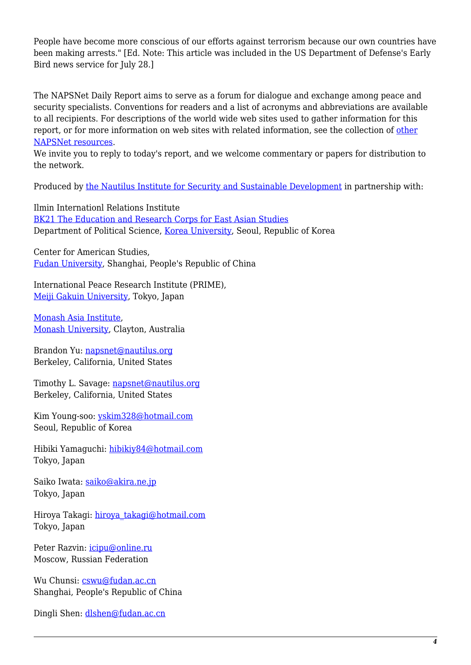People have become more conscious of our efforts against terrorism because our own countries have been making arrests." [Ed. Note: This article was included in the US Department of Defense's Early Bird news service for July 28.]

The NAPSNet Daily Report aims to serve as a forum for dialogue and exchange among peace and security specialists. Conventions for readers and a list of acronyms and abbreviations are available to all recipients. For descriptions of the world wide web sites used to gather information for this report, or for more information on web sites with related information, see the collection of [other](http://nautilus.org/kiosk/weblinks.html) [NAPSNet resources.](http://nautilus.org/kiosk/weblinks.html)

We invite you to reply to today's report, and we welcome commentary or papers for distribution to the network.

Produced by [the Nautilus Institute for Security and Sustainable Development](http://nautilus.org/admin/about.html) in partnership with:

Ilmin Internationl Relations Institute [BK21 The Education and Research Corps for East Asian Studies](http://web.korea.ac.kr/~politics/index.html) Department of Political Science, [Korea University,](http://www.korea.ac.kr/) Seoul, Republic of Korea

Center for American Studies, [Fudan University](http://www.fudan.edu.cn/English/nsindex.html), Shanghai, People's Republic of China

International Peace Research Institute (PRIME), [Meiji Gakuin University,](http://www.meijigakuin.ac.jp) Tokyo, Japan

[Monash Asia Institute,](http://www.adm.monash.edu.au) [Monash University](http://www.monash.edu.au/), Clayton, Australia

Brandon Yu: [napsnet@nautilus.org](mailto:napsnet@nautilus.org) Berkeley, California, United States

Timothy L. Savage: [napsnet@nautilus.org](mailto:napsnet@nautilus.org) Berkeley, California, United States

Kim Young-soo: [yskim328@hotmail.com](mailto:yskim328@hotmail.com) Seoul, Republic of Korea

Hibiki Yamaguchi: [hibikiy84@hotmail.com](mailto:hibikiy@dh.mbn.or.jp) Tokyo, Japan

Saiko Iwata: [saiko@akira.ne.jp](mailto:rumiko-seya@geocities.co.jp) Tokyo, Japan

Hiroya Takagi: [hiroya\\_takagi@hotmail.com](mailto:hiroya_takagi@hotmail.com) Tokyo, Japan

Peter Razvin: [icipu@online.ru](mailto:icipu@online.ru) Moscow, Russian Federation

Wu Chunsi: [cswu@fudan.ac.cn](mailto:cswu@fudan.ac.cn) Shanghai, People's Republic of China

Dingli Shen: [dlshen@fudan.ac.cn](mailto:dlshen@fudan.ac.cn)